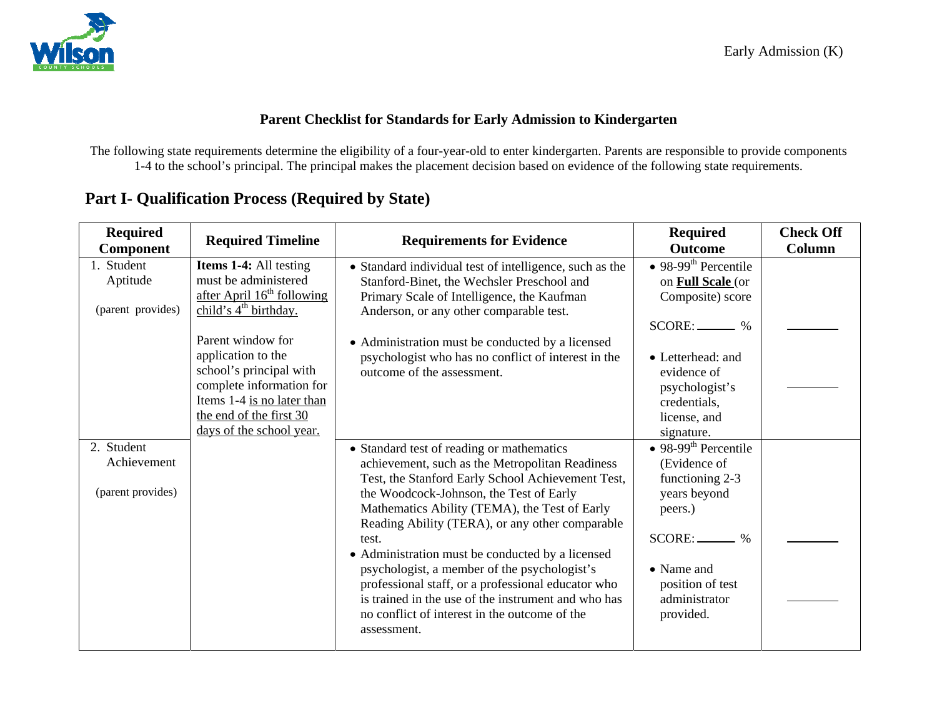

#### **Parent Checklist for Standards for Early Admission to Kindergarten**

The following state requirements determine the eligibility of a four-year-old to enter kindergarten. Parents are responsible to provide components 1-4 to the school's principal. The principal makes the placement decision based on evidence of the following state requirements.

| <b>Required</b><br><b>Component</b> | <b>Required Timeline</b>     | <b>Requirements for Evidence</b>                        | <b>Required</b><br><b>Outcome</b> | <b>Check Off</b><br>Column |
|-------------------------------------|------------------------------|---------------------------------------------------------|-----------------------------------|----------------------------|
| 1. Student                          | Items 1-4: All testing       | • Standard individual test of intelligence, such as the | • 98-99 <sup>th</sup> Percentile  |                            |
| Aptitude                            | must be administered         | Stanford-Binet, the Wechsler Preschool and              | on <b>Full Scale</b> (or          |                            |
|                                     | after April $16th$ following | Primary Scale of Intelligence, the Kaufman              | Composite) score                  |                            |
| (parent provides)                   | child's $4th$ birthday.      | Anderson, or any other comparable test.                 |                                   |                            |
|                                     |                              |                                                         | $SCORE:$ %                        |                            |
|                                     | Parent window for            | • Administration must be conducted by a licensed        |                                   |                            |
|                                     | application to the           | psychologist who has no conflict of interest in the     | • Letterhead: and                 |                            |
|                                     | school's principal with      | outcome of the assessment.                              | evidence of                       |                            |
|                                     | complete information for     |                                                         | psychologist's                    |                            |
|                                     | Items 1-4 is no later than   |                                                         | credentials,                      |                            |
|                                     | the end of the first 30      |                                                         | license, and                      |                            |
|                                     | days of the school year.     |                                                         | signature.                        |                            |
| 2. Student                          |                              | • Standard test of reading or mathematics               | • 98-99 <sup>th</sup> Percentile  |                            |
| Achievement                         |                              | achievement, such as the Metropolitan Readiness         | (Evidence of                      |                            |
|                                     |                              | Test, the Stanford Early School Achievement Test,       | functioning 2-3                   |                            |
| (parent provides)                   |                              | the Woodcock-Johnson, the Test of Early                 | years beyond                      |                            |
|                                     |                              | Mathematics Ability (TEMA), the Test of Early           | peers.)                           |                            |
|                                     |                              | Reading Ability (TERA), or any other comparable         |                                   |                            |
|                                     |                              | test.                                                   | SCORE:<br>$\%$                    |                            |
|                                     |                              | • Administration must be conducted by a licensed        |                                   |                            |
|                                     |                              | psychologist, a member of the psychologist's            | $\bullet$ Name and                |                            |
|                                     |                              | professional staff, or a professional educator who      | position of test                  |                            |
|                                     |                              | is trained in the use of the instrument and who has     | administrator                     |                            |
|                                     |                              | no conflict of interest in the outcome of the           | provided.                         |                            |
|                                     |                              | assessment.                                             |                                   |                            |

# **Part I- Qualification Process (Required by State)**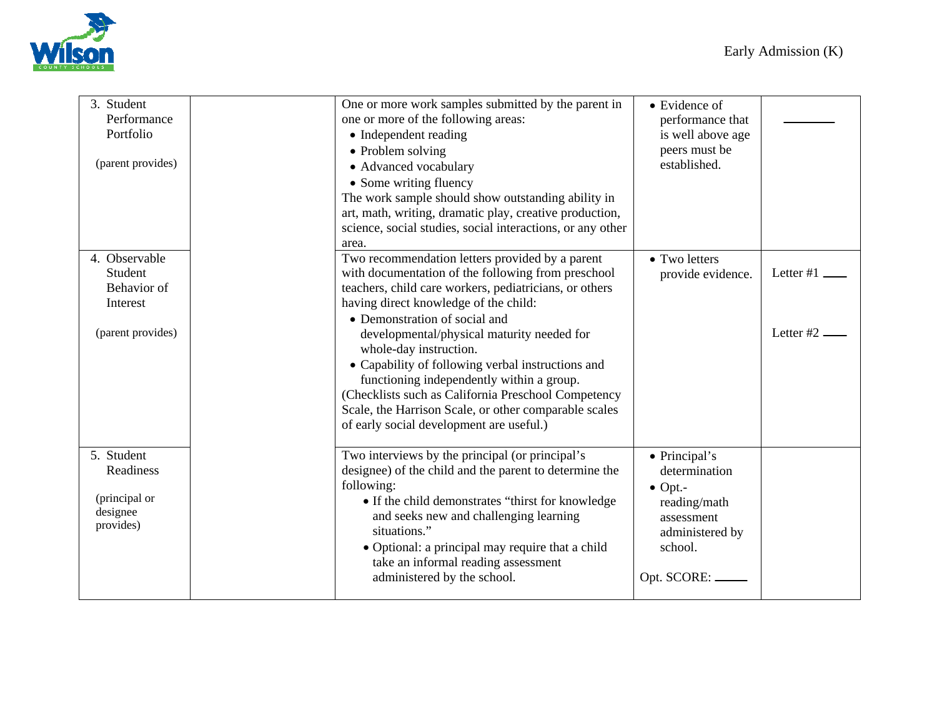

| 3. Student        | One or more work samples submitted by the parent in        | • Evidence of     |           |
|-------------------|------------------------------------------------------------|-------------------|-----------|
| Performance       | one or more of the following areas:                        | performance that  |           |
| Portfolio         | • Independent reading                                      | is well above age |           |
|                   | • Problem solving                                          | peers must be     |           |
| (parent provides) | · Advanced vocabulary                                      | established.      |           |
|                   | • Some writing fluency                                     |                   |           |
|                   | The work sample should show outstanding ability in         |                   |           |
|                   | art, math, writing, dramatic play, creative production,    |                   |           |
|                   | science, social studies, social interactions, or any other |                   |           |
|                   | area.                                                      |                   |           |
| 4. Observable     | Two recommendation letters provided by a parent            | • Two letters     |           |
| Student           | with documentation of the following from preschool         | provide evidence. | Letter #1 |
| Behavior of       | teachers, child care workers, pediatricians, or others     |                   |           |
| Interest          | having direct knowledge of the child:                      |                   |           |
|                   | • Demonstration of social and                              |                   |           |
| (parent provides) | developmental/physical maturity needed for                 |                   | Letter #2 |
|                   | whole-day instruction.                                     |                   |           |
|                   | • Capability of following verbal instructions and          |                   |           |
|                   | functioning independently within a group.                  |                   |           |
|                   | (Checklists such as California Preschool Competency        |                   |           |
|                   | Scale, the Harrison Scale, or other comparable scales      |                   |           |
|                   | of early social development are useful.)                   |                   |           |
|                   |                                                            |                   |           |
| 5. Student        | Two interviews by the principal (or principal's            | • Principal's     |           |
| Readiness         | designee) of the child and the parent to determine the     | determination     |           |
|                   | following:                                                 | $\bullet$ Opt.-   |           |
| (principal or     | • If the child demonstrates "thirst for knowledge"         | reading/math      |           |
| designee          | and seeks new and challenging learning                     | assessment        |           |
| provides)         | situations."                                               | administered by   |           |
|                   | • Optional: a principal may require that a child           | school.           |           |
|                   | take an informal reading assessment                        |                   |           |
|                   | administered by the school.                                | Opt. SCORE:       |           |
|                   |                                                            |                   |           |
|                   |                                                            |                   |           |